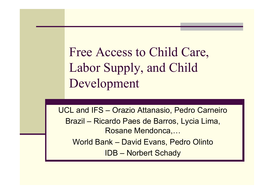Free Access to Child Care, Labor Supply, and Child Development

UCL and IFS – Orazio Attanasio, Pedro Carneiro Brazil – Ricardo Paes de Barros, Lycia Lima, Rosane Mendonca,… World Bank – David Evans, Pedro Olinto IDB – Norbert Schady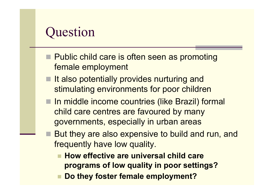### **Question**

- Public child care is often seen as promoting female employment
- $\blacksquare$  It also potentially provides nurturing and stimulating environments for poor children
- In middle income countries (like Brazil) formal child care centres are favoured by many governments, especially in urban areas
	- But they are also expensive to build and run, and frequently have low quality.
		- How effective are universal child care **programs of low quality in poor settings?**
		- **Do they foster female employment?**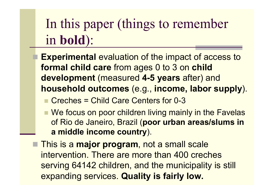# In this paper (things to remember in **bold**):

- **Experimental** evaluation of the impact of access to **formal child care** from ages 0 to 3 on **child development** (measured **4-5 years** after) and **household outcomes** (e.g., **income, labor supply**).
	- n Creches = Child Care Centers for 0-3
	- We focus on poor children living mainly in the Favelas of Rio de Janeiro, Brazil (**poor urban areas/slums in a middle income country**).
- This is a **major program**, not a small scale intervention. There are more than 400 creches serving 64142 children, and the municipality is still expanding services. **Quality is fairly low.**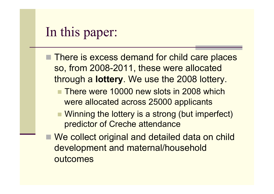### In this paper:

- There is excess demand for child care places so, from 2008-2011, these were allocated through a **lottery**. We use the 2008 lottery.
	- **n There were 10000 new slots in 2008 which** were allocated across 25000 applicants
	- Winning the lottery is a strong (but imperfect) predictor of Creche attendance
- We collect original and detailed data on child development and maternal/household outcomes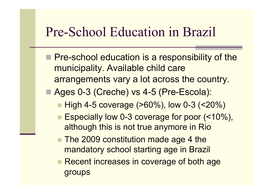### Pre-School Education in Brazil

- **Pre-school education is a responsibility of the** municipality. Available child care arrangements vary a lot across the country.
- Ages 0-3 (Creche) vs 4-5 (Pre-Escola):
	- $\blacksquare$  High 4-5 coverage ( $>60\%$ ), low 0-3 (<20%)
	- Especially low 0-3 coverage for poor (<10%), although this is not true anymore in Rio
	- The 2009 constitution made age 4 the mandatory school starting age in Brazil
	- **Recent increases in coverage of both age** groups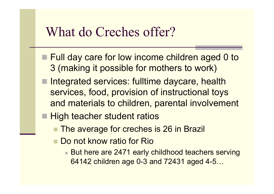#### What do Creches offer?

- Full day care for low income children aged 0 to 3 (making it possible for mothers to work)
- Integrated services: fulltime daycare, health services, food, provision of instructional toys and materials to children, parental involvement
- High teacher student ratios
	- The average for creches is 26 in Brazil
	- **n** Do not know ratio for Rio
		- But here are 2471 early childhood teachers serving 64142 children age 0-3 and 72431 aged 4-5…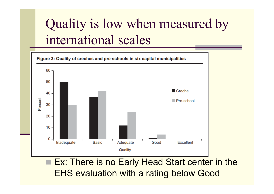# Quality is low when measured by international scales



Ex: There is no Early Head Start center in the EHS evaluation with a rating below Good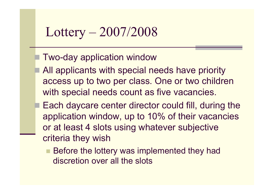### Lottery – 2007/2008

#### Two-day application window

- All applicants with special needs have priority access up to two per class. One or two children with special needs count as five vacancies.
- Each daycare center director could fill, during the application window, up to 10% of their vacancies or at least 4 slots using whatever subjective criteria they wish
	- Before the lottery was implemented they had discretion over all the slots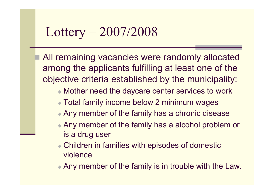### Lottery – 2007/2008

All remaining vacancies were randomly allocated among the applicants fulfilling at least one of the objective criteria established by the municipality:

- $\bullet$  Mother need the daycare center services to work
- **Total family income below 2 minimum wages**
- Any member of the family has a chronic disease
- $\triangle$  Any member of the family has a alcohol problem or is a drug user
- $\bullet$  Children in families with episodes of domestic violence

 $\triangle$  Any member of the family is in trouble with the Law.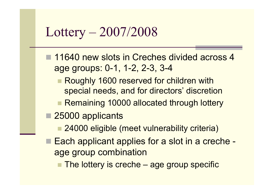#### Lottery – 2007/2008

- 11640 new slots in Creches divided across 4 age groups: 0-1, 1-2, 2-3, 3-4
	- **Roughly 1600 reserved for children with** special needs, and for directors' discretion
	- Remaining 10000 allocated through lottery
- 25000 applicants
	- 24000 eligible (meet vulnerability criteria)
- Each applicant applies for a slot in a creche age group combination
	- $\blacksquare$  The lottery is creche age group specific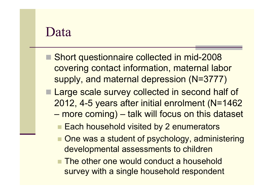#### Data

- Short questionnaire collected in mid-2008 covering contact information, maternal labor supply, and maternal depression (N=3777)
- **Large scale survey collected in second half of** 2012, 4-5 years after initial enrolment (N=1462 – more coming) – talk will focus on this dataset
	- Each household visited by 2 enumerators
	- One was a student of psychology, administering developmental assessments to children
	- The other one would conduct a household survey with a single household respondent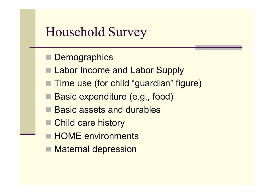### Household Survey

- Demographics
- **Labor Income and Labor Supply**
- Time use (for child "guardian" figure)
- Basic expenditure (e.g., food)
- Basic assets and durables
- Child care history
- **HOME environments**
- Maternal depression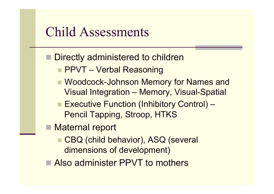#### Child Assessments

- Directly administered to children
	- **n PPVT Verbal Reasoning**
	- **N** Woodcock-Johnson Memory for Names and Visual Integration – Memory, Visual-Spatial
	- Executive Function (Inhibitory Control) Pencil Tapping, Stroop, HTKS
- Maternal report
	- CBQ (child behavior), ASQ (several dimensions of development)
- Also administer PPVT to mothers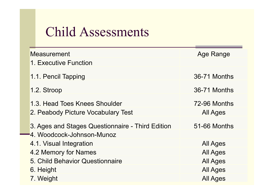### Child Assessments

| Measurement                                                                            | Age Range       |
|----------------------------------------------------------------------------------------|-----------------|
| 1. Executive Function                                                                  |                 |
| 1.1. Pencil Tapping                                                                    | 36-71 Months    |
| 1.2. Stroop                                                                            | 36-71 Months    |
| 1.3. Head Toes Knees Shoulder                                                          | 72-96 Months    |
| 2. Peabody Picture Vocabulary Test                                                     | <b>All Ages</b> |
| 3. Ages and Stages Questionnaire - Third Edition<br><b>-</b> 4. Woodcock-Johnson-Munoz | 51-66 Months    |
| 4.1. Visual Integration                                                                | <b>All Ages</b> |
| 4.2 Memory for Names                                                                   | <b>All Ages</b> |
| 5. Child Behavior Questionnaire                                                        | <b>All Ages</b> |
| 6. Height                                                                              | <b>All Ages</b> |
| 7. Weight                                                                              | All Ages        |
|                                                                                        |                 |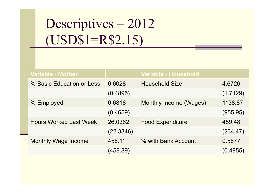# Descriptives – 2012 (USD\$1=R\$2.15)

| <b>Variable - Mother</b>      |           | Variable - Household    |          |
|-------------------------------|-----------|-------------------------|----------|
| % Basic Education or Less     | 0.6028    | <b>Household Size</b>   | 4.6726   |
|                               | (0.4895)  |                         | (1.7129) |
| % Employed                    | 0.6818    | Monthly Income (Wages)  | 1138.87  |
|                               | (0.4659)  |                         | (955.95) |
| <b>Hours Worked Last Week</b> | 26.0362   | <b>Food Expenditure</b> | 459.48   |
|                               | (22.3346) |                         | (234.47) |
| <b>Monthly Wage Income</b>    | 456.11    | % with Bank Account     | 0.5677   |
|                               | (458.89)  |                         | (0.4955) |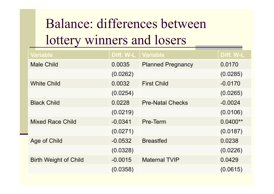# Balance: differences between lottery winners and losers

| <b>Variable</b>              | Diff. W-L | <b>Variable</b>          | Diff. W-L  |
|------------------------------|-----------|--------------------------|------------|
| <b>Male Child</b>            | 0.0035    | <b>Planned Pregnancy</b> | 0.0170     |
|                              | (0.0262)  |                          | (0.0285)   |
| <b>White Child</b>           | 0.0032    | <b>First Child</b>       | $-0.0170$  |
|                              | (0.0254)  |                          | (0.0265)   |
| <b>Black Child</b>           | 0.0228    | <b>Pre-Natal Checks</b>  | $-0.0024$  |
|                              | (0.0219)  |                          | (0.0106)   |
| <b>Mixed Race Child</b>      | $-0.0341$ | Pre-Term                 | $0.0400**$ |
|                              | (0.0271)  |                          | (0.0187)   |
| Age of Child                 | $-0.0532$ | <b>Breastfed</b>         | 0.0238     |
|                              | (0.0328)  |                          | (0.0226)   |
| <b>Birth Weight of Child</b> | $-0.0015$ | <b>Maternal TVIP</b>     | 0.0429     |
|                              | (0.0358)  |                          | (0.0615)   |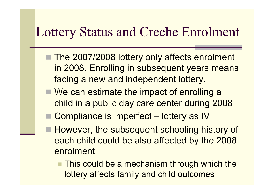#### Lottery Status and Creche Enrolment

- The 2007/2008 lottery only affects enrolment in 2008. Enrolling in subsequent years means facing a new and independent lottery.
- $\blacksquare$  We can estimate the impact of enrolling a child in a public day care center during 2008
- Compliance is imperfect lottery as IV
- **However, the subsequent schooling history of** each child could be also affected by the 2008 enrolment
	- $\blacksquare$  This could be a mechanism through which the lottery affects family and child outcomes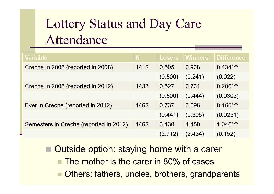# Lottery Status and Day Care Attendance

| <b>Variable</b>                        |      | <b>Losers</b> | <b>Winners</b> | <b>Difference</b> |
|----------------------------------------|------|---------------|----------------|-------------------|
| Creche in 2008 (reported in 2008)      | 1412 | 0.505         | 0.938          | $0.434***$        |
|                                        |      | (0.500)       | (0.241)        | (0.022)           |
| Creche in 2008 (reported in 2012)      | 1433 | 0.527         | 0.731          | $0.206***$        |
|                                        |      | (0.500)       | (0.444)        | (0.0303)          |
| Ever in Creche (reported in 2012)      | 1462 | 0.737         | 0.896          | $0.160***$        |
|                                        |      | (0.441)       | (0.305)        | (0.0251)          |
| Semesters in Creche (reported in 2012) | 1462 | 3.430         | 4.458          | $1.046***$        |
|                                        |      | (2.712)       | (2.434)        | (0.152)           |

Outside option: staying home with a carer

The mother is the carer in 80% of cases

■ Others: fathers, uncles, brothers, grandparents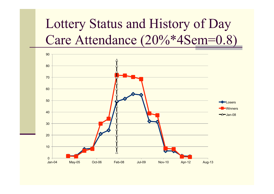# Lottery Status and History of Day Care Attendance (20%\*4Sem=0.8)

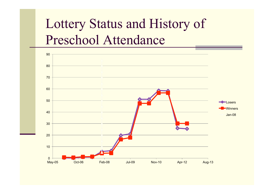# Lottery Status and History of Preschool Attendance

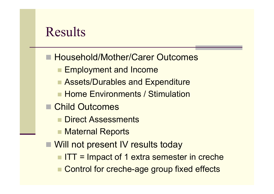### Results

- Household/Mother/Carer Outcomes
	- **Employment and Income**
	- Assets/Durables and Expenditure
	- **n Home Environments / Stimulation**
- Child Outcomes
	- **n** Direct Assessments
	- Maternal Reports
- Will not present IV results today
	- $\blacksquare$  ITT = Impact of 1 extra semester in creche
	- Control for creche-age group fixed effects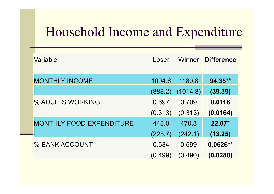### Household Income and Expenditure

| Variable                        | Loser   | Winner   | <b>Difference</b> |
|---------------------------------|---------|----------|-------------------|
| <b>MONTHLY INCOME</b>           | 1094.6  | 1180.8   | 94.35**           |
|                                 | (888.2) | (1014.8) | (39.39)           |
| % ADULTS WORKING                | 0.697   | 0.709    | 0.0116            |
|                                 | (0.313) | (0.313)  | (0.0164)          |
| <b>MONTHLY FOOD EXPENDITURE</b> | 448.0   | 470.3    | 22.07*            |
|                                 | (225.7) | (242.1)  | (13.25)           |
| % BANK ACCOUNT                  | 0.534   | 0.599    | $0.0626**$        |
|                                 | (0.499) | (0.490)  | (0.0280)          |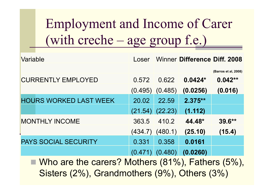Employment and Income of Carer (with creche – age group f.e.)

| Variable                      | Loser   |                     | <b>Winner Difference Diff. 2008</b> |                      |
|-------------------------------|---------|---------------------|-------------------------------------|----------------------|
|                               |         |                     |                                     | (Barros et al, 2008) |
| <b>CURRENTLY EMPLOYED</b>     | 0.572   | 0.622               | $0.0424*$                           | $0.042**$            |
|                               | (0.495) | (0.485)             | (0.0256)                            | (0.016)              |
| <b>HOURS WORKED LAST WEEK</b> | 20.02   | 22.59               | $2.375**$                           |                      |
|                               |         | $(21.54)$ $(22.23)$ | (1.112)                             |                      |
| <b>MONTHLY INCOME</b>         | 363.5   | 410.2               | 44.48*                              | $39.6**$             |
|                               | (434.7) | (480.1)             | (25.10)                             | (15.4)               |
| <b>PAYS SOCIAL SECURITY</b>   | 0.331   | 0.358               | 0.0161                              |                      |
|                               | (0.471) | (0.480)             | (0.0260)                            |                      |

 $\blacksquare$  Who are the carers? Mothers (81%), Fathers (5%), Sisters (2%), Grandmothers (9%), Others (3%)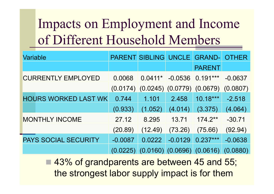# Impacts on Employment and Income of Different Household Members

| <b>Variable</b>             |           | <b>PARENT SIBLING UNCLE</b> |                       | <b>GRAND-</b>      | <b>OTHER</b> |
|-----------------------------|-----------|-----------------------------|-----------------------|--------------------|--------------|
|                             |           |                             |                       | <b>PARENT</b>      |              |
| <b>CURRENTLY EMPLOYED</b>   | 0.0068    | $0.0411*$                   |                       | $-0.0536$ 0.191*** | $-0.0637$    |
|                             | (0.0174)  | (0.0245)                    | (0.0779)              | (0.0679)           | (0.0807)     |
| <b>HOURS WORKED LAST WK</b> | 0.744     | 1.101                       | 2.458                 | $10.18***$         | $-2.518$     |
|                             | (0.933)   | (1.052)                     | (4.014)               | (3.375)            | (4.064)      |
| <b>MONTHLY INCOME</b>       | 27.12     | 8.295                       | 13.71                 | $174.2**$          | $-30.71$     |
|                             | (20.89)   | (12.49)                     | (73.26)               | (75.66)            | (92.94)      |
| <b>PAYS SOCIAL SECURITY</b> | $-0.0087$ | 0.0222                      | $-0.0129$             | $0.237***$         | $-0.0638$    |
|                             | (0.0225)  |                             | $(0.0160)$ $(0.0696)$ | (0.0616)           | (0.0880)     |

43% of grandparents are between 45 and 55; the strongest labor supply impact is for them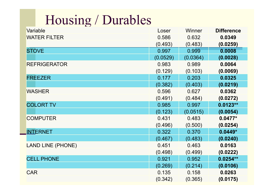# Housing / Durables

| Variable                 | Loser    | Winner   | <b>Difference</b> |
|--------------------------|----------|----------|-------------------|
| <b>WATER FILTER</b>      | 0.586    | 0.632    | 0.0349            |
|                          | (0.493)  | (0.483)  | (0.0259)          |
| <b>STOVE</b>             | 0.997    | 0.999    | 0.0008            |
|                          | (0.0529) | (0.0364) | (0.0028)          |
| <b>REFRIGERATOR</b>      | 0.983    | 0.989    | 0.0064            |
|                          | (0.129)  | (0.103)  | (0.0069)          |
| <b>FREEZER</b>           | 0.177    | 0.203    | 0.0325            |
|                          | (0.382)  | (0.403)  | (0.0219)          |
| <b>WASHER</b>            | 0.596    | 0.627    | 0.0362            |
|                          | (0.491)  | (0.484)  | (0.0272)          |
| <b>COLORT TV</b>         | 0.985    | 0.997    | $0.0123**$        |
|                          | (0.123)  | (0.0515) | (0.0054)          |
| <b>COMPUTER</b>          | 0.431    | 0.483    | $0.0477*$         |
|                          | (0.496)  | (0.500)  | (0.0254)          |
| <b>INTERNET</b>          | 0.322    | 0.370    | $0.0449*$         |
|                          | (0.467)  | (0.483)  | (0.0240)          |
| <b>LAND LINE (PHONE)</b> | 0.451    | 0.463    | 0.0163            |
|                          | (0.498)  | (0.499)  | (0.0222)          |
| <b>CELL PHONE</b>        | 0.921    | 0.952    | $0.0254**$        |
|                          | (0.269)  | (0.214)  | (0.0106)          |
| <b>CAR</b>               | 0.135    | 0.158    | 0.0263            |
|                          | (0.342)  | (0.365)  | (0.0175)          |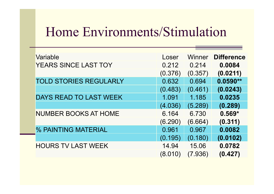# Home Environments/Stimulation

| Variable                      | Loser   | <b>Winner</b> | <b>Difference</b> |
|-------------------------------|---------|---------------|-------------------|
| YEARS SINCE LAST TOY          | 0.212   | 0.214         | 0.0084            |
|                               | (0.376) | (0.357)       | (0.0211)          |
| <b>TOLD STORIES REGULARLY</b> | 0.632   | 0.694         | $0.0590**$        |
|                               | (0.483) | (0.461)       | (0.0243)          |
| <b>DAYS READ TO LAST WEEK</b> | 1.091   | 1.185         | 0.0235            |
|                               | (4.036) | (5.289)       | (0.289)           |
| <b>NUMBER BOOKS AT HOME</b>   | 6.164   | 6.730         | $0.569*$          |
|                               | (6.290) | (6.664)       | (0.311)           |
| % PAINTING MATERIAL           | 0.961   | 0.967         | 0.0082            |
|                               | (0.195) | (0.180)       | (0.0102)          |
| <b>HOURS TV LAST WEEK</b>     | 14.94   | 15.06         | 0.0782            |
|                               | (8.010) | (7.936)       | (0.427)           |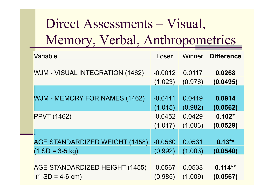# Direct Assessments – Visual, Memory, Verbal, Anthropometrics

| Variable                               | Loser     | Winner  | <b>Difference</b> |
|----------------------------------------|-----------|---------|-------------------|
| <b>WJM - VISUAL INTEGRATION (1462)</b> | $-0.0012$ | 0.0117  | 0.0268            |
|                                        | (1.023)   | (0.976) | (0.0495)          |
|                                        |           |         |                   |
| <b>WJM - MEMORY FOR NAMES (1462)</b>   | $-0.0441$ | 0.0419  | 0.0914            |
|                                        | (1.015)   | (0.982) | (0.0562)          |
| <b>PPVT (1462)</b>                     | $-0.0452$ | 0.0429  | $0.102*$          |
|                                        | (1.017)   | (1.003) | (0.0529)          |
|                                        |           |         |                   |
| AGE STANDARDIZED WEIGHT (1458)         | $-0.0560$ | 0.0531  | $0.13**$          |
| $(1 SD = 3-5 kg)$                      | (0.992)   | (1.003) | (0.0540)          |
|                                        |           |         |                   |
| AGE STANDARDIZED HEIGHT (1455)         | $-0.0567$ | 0.0538  | $0.114**$         |
| $(1 SD = 4-6 cm)$                      | (0.985)   | (1.009) | (0.0567)          |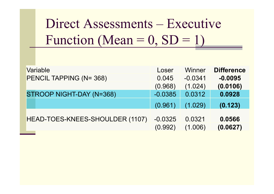# Direct Assessments – Executive Function (Mean =  $0, SD = 1$ )

| Variable                        | Loser                | Winner            | <b>Difference</b>  |
|---------------------------------|----------------------|-------------------|--------------------|
| PENCIL TAPPING (N= 368)         | 0.045                | $-0.0341$         | $-0.0095$          |
|                                 | (0.968)              | (1.024)           | (0.0106)           |
| STROOP NIGHT-DAY (N=368)        | $-0.0385$            | 0.0312            | 0.0928             |
|                                 | (0.961)              | (1.029)           | (0.123)            |
| HEAD-TOES-KNEES-SHOULDER (1107) | $-0.0325$<br>(0.992) | 0.0321<br>(1.006) | 0.0566<br>(0.0627) |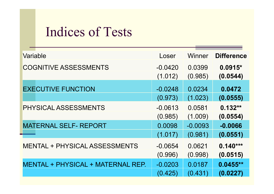# Indices of Tests

| Variable                             | Loser     | Winner    | <b>Difference</b> |
|--------------------------------------|-----------|-----------|-------------------|
| <b>COGNITIVE ASSESSMENTS</b>         | $-0.0420$ | 0.0399    | $0.0915*$         |
|                                      | (1.012)   | (0.985)   | (0.0544)          |
| <b>EXECUTIVE FUNCTION</b>            | $-0.0248$ | 0.0234    | 0.0472            |
|                                      | (0.973)   | (1.023)   | (0.0555)          |
| PHYSICAL ASSESSMENTS                 | $-0.0613$ | 0.0581    | $0.132**$         |
|                                      | (0.985)   | (1.009)   | (0.0554)          |
| <b>MATERNAL SELF- REPORT</b>         | 0.0098    | $-0.0093$ | $-0.0066$         |
|                                      | (1.017)   | (0.981)   | (0.0551)          |
| <b>MENTAL + PHYSICAL ASSESSMENTS</b> | $-0.0654$ | 0.0621    | $0.140***$        |
|                                      | (0.996)   | (0.998)   | (0.0515)          |
| MENTAL + PHYSICAL + MATERNAL REP.    | $-0.0203$ | 0.0187    | $0.0455**$        |
|                                      | (0.425)   | (0.431)   | (0.0227)          |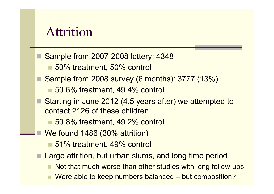#### Attrition

- Sample from 2007-2008 lottery: 4348
	- 50% treatment, 50% control
- Sample from 2008 survey (6 months): 3777 (13%)
	- 50.6% treatment, 49.4% control
- Starting in June 2012 (4.5 years after) we attempted to contact 2126 of these children
	- 50.8% treatment, 49.2% control
	- We found 1486 (30% attrition)
		- 51% treatment, 49% control
- Large attrition, but urban slums, and long time period
	- Not that much worse than other studies with long follow-ups
	- Were able to keep numbers balanced but composition?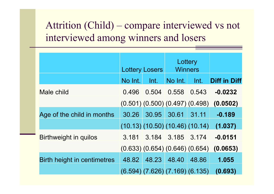#### Attrition (Child) – compare interviewed vs not interviewed among winners and losers

|                             | Lottery Losers |       | Lottery<br><b>Winners</b>               |       |                     |
|-----------------------------|----------------|-------|-----------------------------------------|-------|---------------------|
|                             | No Int.        | Int.  | No Int.                                 | Int   | <b>Diff in Diff</b> |
| Male child                  | 0.496          | 0.504 | 0.558                                   | 0.543 | $-0.0232$           |
|                             |                |       | $(0.501)$ $(0.500)$ $(0.497)$ $(0.498)$ |       | (0.0502)            |
| Age of the child in months  | 30.26          | 30.95 | 30.61                                   | 31.11 | $-0.189$            |
|                             |                |       | (10.13)(10.50)(10.46)(10.14)            |       | (1.037)             |
| Birthweight in quilos       | 3.181          |       | 3.184 3.185 3.174                       |       | $-0.0151$           |
|                             |                |       | $(0.633)$ $(0.654)$ $(0.646)$ $(0.654)$ |       | (0.0653)            |
| Birth height in centimetres | 48.82          | 48.23 | 48.40                                   | 48.86 | 1.055               |
|                             |                |       | $(6.594)$ $(7.626)$ $(7.169)$ $(6.135)$ |       | (0.693)             |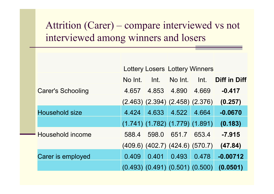#### Attrition (Carer) – compare interviewed vs not interviewed among winners and losers

|                          | <b>Lottery Losers Lottery Winners</b> |                                         |         |       |                     |  |  |
|--------------------------|---------------------------------------|-----------------------------------------|---------|-------|---------------------|--|--|
|                          | No Int.                               | Int.                                    | No Int. | Int.  | <b>Diff in Diff</b> |  |  |
| <b>Carer's Schooling</b> | 4.657                                 | 4.853                                   | 4.890   | 4.669 | $-0.417$            |  |  |
|                          |                                       | $(2.463)$ $(2.394)$ $(2.458)$ $(2.376)$ |         |       | (0.257)             |  |  |
| <b>Household size</b>    | 4.424                                 | 4.633                                   | 4.522   | 4.664 | $-0.0670$           |  |  |
|                          |                                       | $(1.741)$ $(1.782)$ $(1.779)$ $(1.891)$ |         |       | (0.183)             |  |  |
| - Household income       | 588.4                                 | 598.0                                   | 651.7   | 653.4 | $-7.915$            |  |  |
|                          |                                       | (409.6) (402.7) (424.6) (570.7)         |         |       | (47.84)             |  |  |
| Carer is employed        | 0.409                                 | 0.401                                   | 0.493   | 0.478 | $-0.00712$          |  |  |
|                          |                                       | $(0.493)$ $(0.491)$ $(0.501)$ $(0.500)$ |         |       | (0.0501)            |  |  |